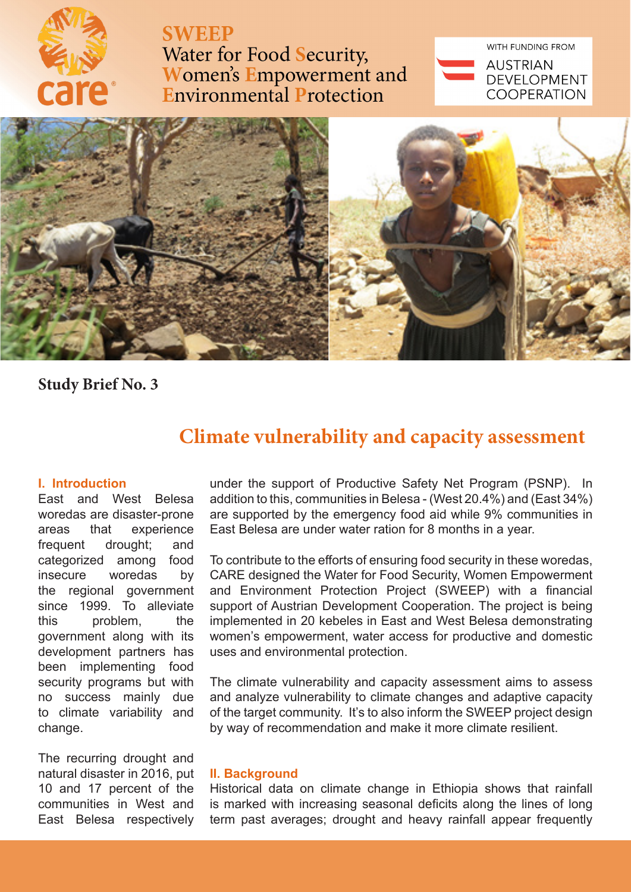

**SWEEP** 

Water for Food Security, Women's Empowerment and<br>Environmental Protection WITH FUNDING FROM

**AUSTRIAN DEVELOPMENT COOPERATION** 



**Study Brief No. 3**

# **Climate vulnerability and capacity assessment**

# **I. Introduction**

East and West Belesa woredas are disaster-prone areas that experience frequent drought; and categorized among food insecure woredas by the regional government since 1999. To alleviate this problem, the government along with its development partners has been implementing food security programs but with no success mainly due to climate variability and change.

The recurring drought and natural disaster in 2016, put 10 and 17 percent of the communities in West and East Belesa respectively

under the support of Productive Safety Net Program (PSNP). In addition to this, communities in Belesa - (West 20.4%) and (East 34%) are supported by the emergency food aid while 9% communities in East Belesa are under water ration for 8 months in a year.

To contribute to the efforts of ensuring food security in these woredas, CARE designed the Water for Food Security, Women Empowerment and Environment Protection Project (SWEEP) with a financial support of Austrian Development Cooperation. The project is being implemented in 20 kebeles in East and West Belesa demonstrating women's empowerment, water access for productive and domestic uses and environmental protection.

The climate vulnerability and capacity assessment aims to assess and analyze vulnerability to climate changes and adaptive capacity of the target community. It's to also inform the SWEEP project design by way of recommendation and make it more climate resilient.

## **II. Background**

Historical data on climate change in Ethiopia shows that rainfall is marked with increasing seasonal deficits along the lines of long term past averages; drought and heavy rainfall appear frequently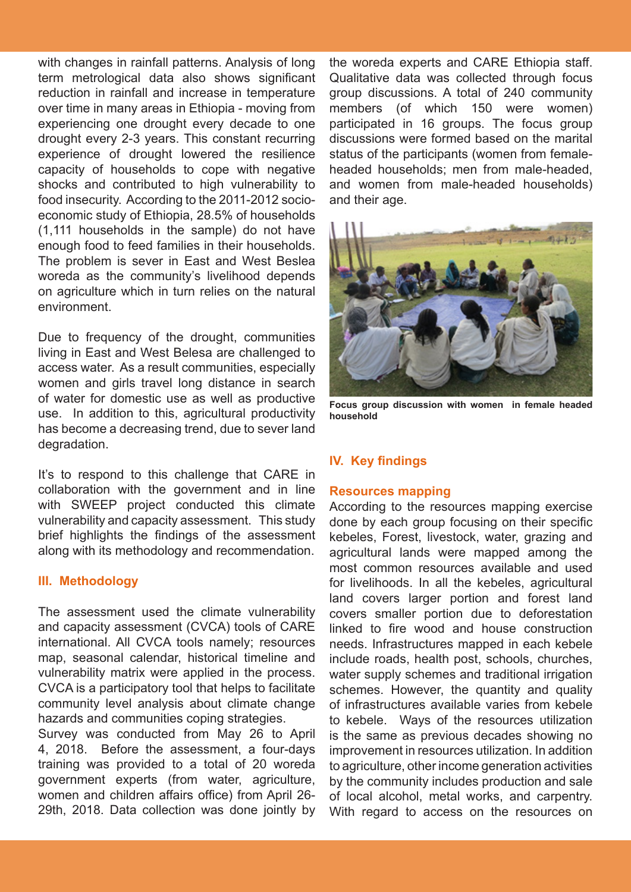with changes in rainfall patterns. Analysis of long term metrological data also shows significant reduction in rainfall and increase in temperature over time in many areas in Ethiopia - moving from experiencing one drought every decade to one drought every 2-3 years. This constant recurring experience of drought lowered the resilience capacity of households to cope with negative shocks and contributed to high vulnerability to food insecurity. According to the 2011-2012 socioeconomic study of Ethiopia, 28.5% of households (1,111 households in the sample) do not have enough food to feed families in their households. The problem is sever in East and West Beslea woreda as the community's livelihood depends on agriculture which in turn relies on the natural environment.

Due to frequency of the drought, communities living in East and West Belesa are challenged to access water. As a result communities, especially women and girls travel long distance in search of water for domestic use as well as productive use. In addition to this, agricultural productivity has become a decreasing trend, due to sever land degradation.

It's to respond to this challenge that CARE in collaboration with the government and in line with SWEEP project conducted this climate vulnerability and capacity assessment. This study brief highlights the findings of the assessment along with its methodology and recommendation.

## **III. Methodology**

The assessment used the climate vulnerability and capacity assessment (CVCA) tools of CARE international. All CVCA tools namely; resources map, seasonal calendar, historical timeline and vulnerability matrix were applied in the process. CVCA is a participatory tool that helps to facilitate community level analysis about climate change hazards and communities coping strategies.

Survey was conducted from May 26 to April 4, 2018. Before the assessment, a four-days training was provided to a total of 20 woreda government experts (from water, agriculture, women and children affairs office) from April 26- 29th, 2018. Data collection was done jointly by

the woreda experts and CARE Ethiopia staff. Qualitative data was collected through focus group discussions. A total of 240 community members (of which 150 were women) participated in 16 groups. The focus group discussions were formed based on the marital status of the participants (women from femaleheaded households; men from male-headed, and women from male-headed households) and their age.



**Focus group discussion with women in female headed household**

# **IV. Key findings**

#### **Resources mapping**

According to the resources mapping exercise done by each group focusing on their specific kebeles, Forest, livestock, water, grazing and agricultural lands were mapped among the most common resources available and used for livelihoods. In all the kebeles, agricultural land covers larger portion and forest land covers smaller portion due to deforestation linked to fire wood and house construction needs. Infrastructures mapped in each kebele include roads, health post, schools, churches, water supply schemes and traditional irrigation schemes. However, the quantity and quality of infrastructures available varies from kebele to kebele. Ways of the resources utilization is the same as previous decades showing no improvement in resources utilization. In addition to agriculture, other income generation activities by the community includes production and sale of local alcohol, metal works, and carpentry. With regard to access on the resources on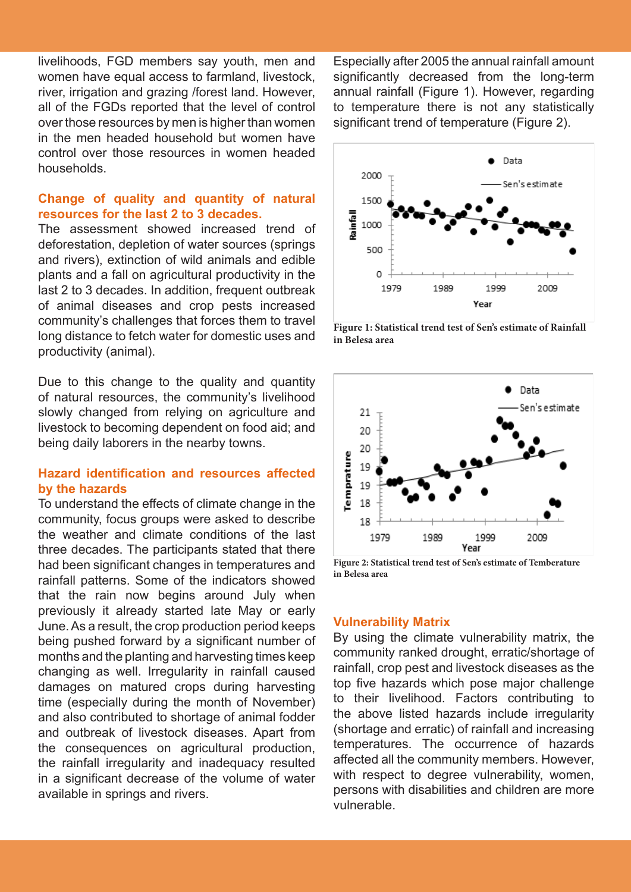livelihoods, FGD members say youth, men and women have equal access to farmland, livestock, river, irrigation and grazing /forest land. However, all of the FGDs reported that the level of control over those resources by men is higher than women in the men headed household but women have control over those resources in women headed households.

# **Change of quality and quantity of natural resources for the last 2 to 3 decades.**

The assessment showed increased trend of deforestation, depletion of water sources (springs and rivers), extinction of wild animals and edible plants and a fall on agricultural productivity in the last 2 to 3 decades. In addition, frequent outbreak of animal diseases and crop pests increased community's challenges that forces them to travel long distance to fetch water for domestic uses and productivity (animal).

Due to this change to the quality and quantity of natural resources, the community's livelihood slowly changed from relying on agriculture and livestock to becoming dependent on food aid; and being daily laborers in the nearby towns.

# **Hazard identification and resources affected by the hazards**

To understand the effects of climate change in the community, focus groups were asked to describe the weather and climate conditions of the last three decades. The participants stated that there had been significant changes in temperatures and rainfall patterns. Some of the indicators showed that the rain now begins around July when previously it already started late May or early June. As a result, the crop production period keeps being pushed forward by a significant number of months and the planting and harvesting times keep changing as well. Irregularity in rainfall caused damages on matured crops during harvesting time (especially during the month of November) and also contributed to shortage of animal fodder and outbreak of livestock diseases. Apart from the consequences on agricultural production, the rainfall irregularity and inadequacy resulted in a significant decrease of the volume of water available in springs and rivers.

Especially after 2005 the annual rainfall amount significantly decreased from the long-term annual rainfall (Figure 1). However, regarding to temperature there is not any statistically significant trend of temperature (Figure 2).



**Figure 1: Statistical trend test of Sen's estimate of Rainfall in Belesa area**



**Figure 2: Statistical trend test of Sen's estimate of Temberature in Belesa area**

#### **Vulnerability Matrix**

By using the climate vulnerability matrix, the community ranked drought, erratic/shortage of rainfall, crop pest and livestock diseases as the top five hazards which pose major challenge to their livelihood. Factors contributing to the above listed hazards include irregularity (shortage and erratic) of rainfall and increasing temperatures. The occurrence of hazards affected all the community members. However, with respect to degree vulnerability, women, persons with disabilities and children are more vulnerable.